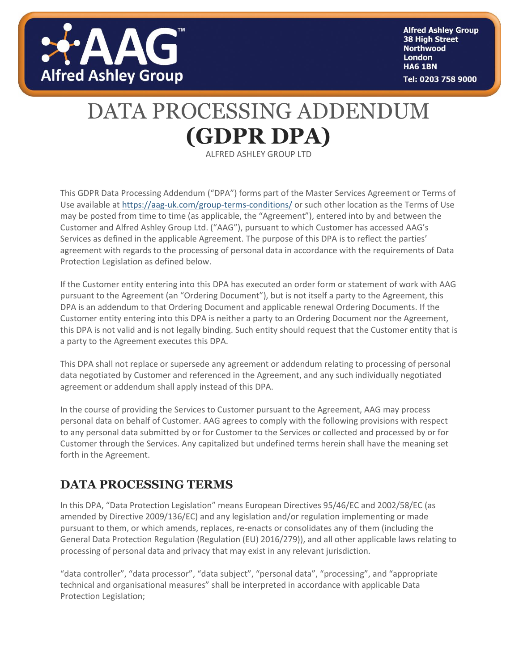

**Alfred Ashley Group** 38 High Street **Northwood London HA6 1BN** Tel: 0203 758 9000

## DATA PROCESSING ADDENDUM **(GDPR DPA)**

ALFRED ASHLEY GROUP LTD

This GDPR Data Processing Addendum ("DPA") forms part of the Master Services Agreement or Terms of Use available at<https://aag-uk.com/group-terms-conditions/> or such other location as the Terms of Use may be posted from time to time (as applicable, the "Agreement"), entered into by and between the Customer and Alfred Ashley Group Ltd. ("AAG"), pursuant to which Customer has accessed AAG's Services as defined in the applicable Agreement. The purpose of this DPA is to reflect the parties' agreement with regards to the processing of personal data in accordance with the requirements of Data Protection Legislation as defined below.

If the Customer entity entering into this DPA has executed an order form or statement of work with AAG pursuant to the Agreement (an "Ordering Document"), but is not itself a party to the Agreement, this DPA is an addendum to that Ordering Document and applicable renewal Ordering Documents. If the Customer entity entering into this DPA is neither a party to an Ordering Document nor the Agreement, this DPA is not valid and is not legally binding. Such entity should request that the Customer entity that is a party to the Agreement executes this DPA.

This DPA shall not replace or supersede any agreement or addendum relating to processing of personal data negotiated by Customer and referenced in the Agreement, and any such individually negotiated agreement or addendum shall apply instead of this DPA.

In the course of providing the Services to Customer pursuant to the Agreement, AAG may process personal data on behalf of Customer. AAG agrees to comply with the following provisions with respect to any personal data submitted by or for Customer to the Services or collected and processed by or for Customer through the Services. Any capitalized but undefined terms herein shall have the meaning set forth in the Agreement.

#### **DATA PROCESSING TERMS**

In this DPA, "Data Protection Legislation" means European Directives 95/46/EC and 2002/58/EC (as amended by Directive 2009/136/EC) and any legislation and/or regulation implementing or made pursuant to them, or which amends, replaces, re-enacts or consolidates any of them (including the General Data Protection Regulation (Regulation (EU) 2016/279)), and all other applicable laws relating to processing of personal data and privacy that may exist in any relevant jurisdiction.

"data controller", "data processor", "data subject", "personal data", "processing", and "appropriate technical and organisational measures" shall be interpreted in accordance with applicable Data Protection Legislation;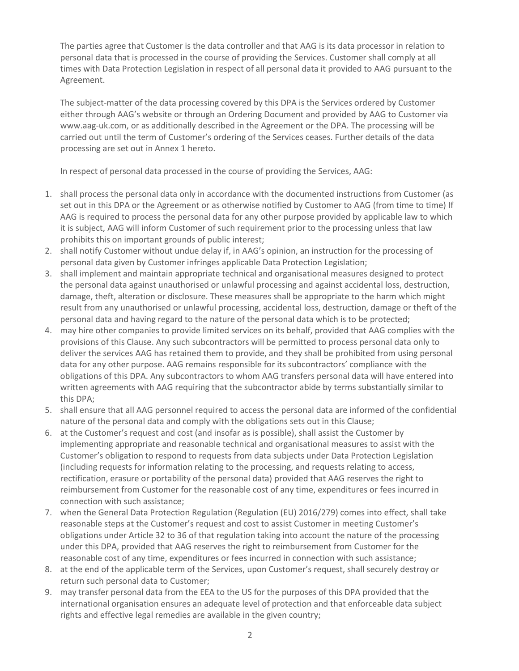The parties agree that Customer is the data controller and that AAG is its data processor in relation to personal data that is processed in the course of providing the Services. Customer shall comply at all times with Data Protection Legislation in respect of all personal data it provided to AAG pursuant to the Agreement.

The subject-matter of the data processing covered by this DPA is the Services ordered by Customer either through AAG's website or through an Ordering Document and provided by AAG to Customer via www.aag-uk.com, or as additionally described in the Agreement or the DPA. The processing will be carried out until the term of Customer's ordering of the Services ceases. Further details of the data processing are set out in Annex 1 hereto.

In respect of personal data processed in the course of providing the Services, AAG:

- 1. shall process the personal data only in accordance with the documented instructions from Customer (as set out in this DPA or the Agreement or as otherwise notified by Customer to AAG (from time to time) If AAG is required to process the personal data for any other purpose provided by applicable law to which it is subject, AAG will inform Customer of such requirement prior to the processing unless that law prohibits this on important grounds of public interest;
- 2. shall notify Customer without undue delay if, in AAG's opinion, an instruction for the processing of personal data given by Customer infringes applicable Data Protection Legislation;
- 3. shall implement and maintain appropriate technical and organisational measures designed to protect the personal data against unauthorised or unlawful processing and against accidental loss, destruction, damage, theft, alteration or disclosure. These measures shall be appropriate to the harm which might result from any unauthorised or unlawful processing, accidental loss, destruction, damage or theft of the personal data and having regard to the nature of the personal data which is to be protected;
- 4. may hire other companies to provide limited services on its behalf, provided that AAG complies with the provisions of this Clause. Any such subcontractors will be permitted to process personal data only to deliver the services AAG has retained them to provide, and they shall be prohibited from using personal data for any other purpose. AAG remains responsible for its subcontractors' compliance with the obligations of this DPA. Any subcontractors to whom AAG transfers personal data will have entered into written agreements with AAG requiring that the subcontractor abide by terms substantially similar to this DPA;
- 5. shall ensure that all AAG personnel required to access the personal data are informed of the confidential nature of the personal data and comply with the obligations sets out in this Clause;
- 6. at the Customer's request and cost (and insofar as is possible), shall assist the Customer by implementing appropriate and reasonable technical and organisational measures to assist with the Customer's obligation to respond to requests from data subjects under Data Protection Legislation (including requests for information relating to the processing, and requests relating to access, rectification, erasure or portability of the personal data) provided that AAG reserves the right to reimbursement from Customer for the reasonable cost of any time, expenditures or fees incurred in connection with such assistance;
- 7. when the General Data Protection Regulation (Regulation (EU) 2016/279) comes into effect, shall take reasonable steps at the Customer's request and cost to assist Customer in meeting Customer's obligations under Article 32 to 36 of that regulation taking into account the nature of the processing under this DPA, provided that AAG reserves the right to reimbursement from Customer for the reasonable cost of any time, expenditures or fees incurred in connection with such assistance;
- 8. at the end of the applicable term of the Services, upon Customer's request, shall securely destroy or return such personal data to Customer;
- 9. may transfer personal data from the EEA to the US for the purposes of this DPA provided that the international organisation ensures an adequate level of protection and that enforceable data subject rights and effective legal remedies are available in the given country;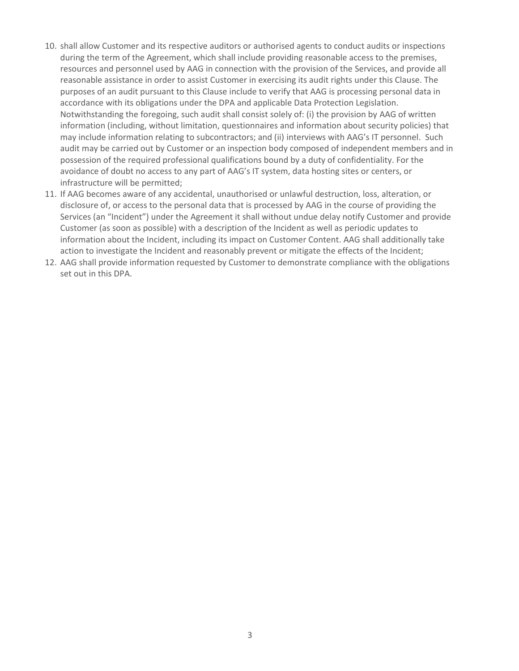- 10. shall allow Customer and its respective auditors or authorised agents to conduct audits or inspections during the term of the Agreement, which shall include providing reasonable access to the premises, resources and personnel used by AAG in connection with the provision of the Services, and provide all reasonable assistance in order to assist Customer in exercising its audit rights under this Clause. The purposes of an audit pursuant to this Clause include to verify that AAG is processing personal data in accordance with its obligations under the DPA and applicable Data Protection Legislation. Notwithstanding the foregoing, such audit shall consist solely of: (i) the provision by AAG of written information (including, without limitation, questionnaires and information about security policies) that may include information relating to subcontractors; and (ii) interviews with AAG's IT personnel. Such audit may be carried out by Customer or an inspection body composed of independent members and in possession of the required professional qualifications bound by a duty of confidentiality. For the avoidance of doubt no access to any part of AAG's IT system, data hosting sites or centers, or infrastructure will be permitted;
- 11. If AAG becomes aware of any accidental, unauthorised or unlawful destruction, loss, alteration, or disclosure of, or access to the personal data that is processed by AAG in the course of providing the Services (an "Incident") under the Agreement it shall without undue delay notify Customer and provide Customer (as soon as possible) with a description of the Incident as well as periodic updates to information about the Incident, including its impact on Customer Content. AAG shall additionally take action to investigate the Incident and reasonably prevent or mitigate the effects of the Incident;
- 12. AAG shall provide information requested by Customer to demonstrate compliance with the obligations set out in this DPA.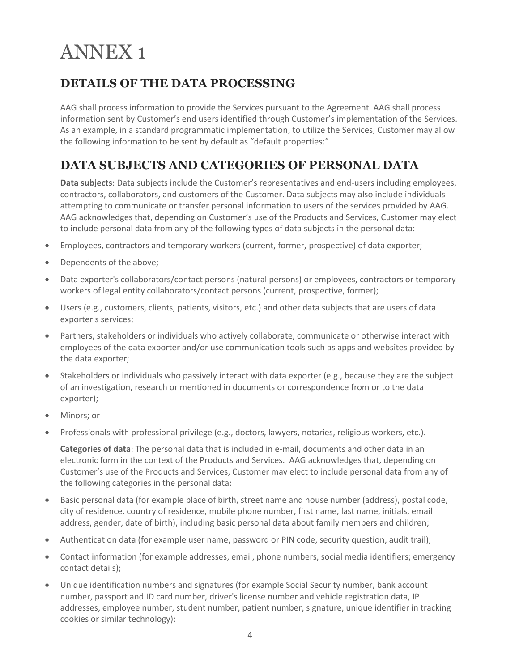# ANNEX 1

### **DETAILS OF THE DATA PROCESSING**

AAG shall process information to provide the Services pursuant to the Agreement. AAG shall process information sent by Customer's end users identified through Customer's implementation of the Services. As an example, in a standard programmatic implementation, to utilize the Services, Customer may allow the following information to be sent by default as "default properties:"

### **DATA SUBJECTS AND CATEGORIES OF PERSONAL DATA**

**Data subjects**: Data subjects include the Customer's representatives and end-users including employees, contractors, collaborators, and customers of the Customer. Data subjects may also include individuals attempting to communicate or transfer personal information to users of the services provided by AAG. AAG acknowledges that, depending on Customer's use of the Products and Services, Customer may elect to include personal data from any of the following types of data subjects in the personal data:

- Employees, contractors and temporary workers (current, former, prospective) of data exporter;
- Dependents of the above;
- Data exporter's collaborators/contact persons (natural persons) or employees, contractors or temporary workers of legal entity collaborators/contact persons (current, prospective, former);
- Users (e.g., customers, clients, patients, visitors, etc.) and other data subjects that are users of data exporter's services;
- Partners, stakeholders or individuals who actively collaborate, communicate or otherwise interact with employees of the data exporter and/or use communication tools such as apps and websites provided by the data exporter;
- Stakeholders or individuals who passively interact with data exporter (e.g., because they are the subject of an investigation, research or mentioned in documents or correspondence from or to the data exporter);
- Minors; or
- Professionals with professional privilege (e.g., doctors, lawyers, notaries, religious workers, etc.).

**Categories of data**: The personal data that is included in e-mail, documents and other data in an electronic form in the context of the Products and Services. AAG acknowledges that, depending on Customer's use of the Products and Services, Customer may elect to include personal data from any of the following categories in the personal data:

- Basic personal data (for example place of birth, street name and house number (address), postal code, city of residence, country of residence, mobile phone number, first name, last name, initials, email address, gender, date of birth), including basic personal data about family members and children;
- Authentication data (for example user name, password or PIN code, security question, audit trail);
- Contact information (for example addresses, email, phone numbers, social media identifiers; emergency contact details);
- Unique identification numbers and signatures (for example Social Security number, bank account number, passport and ID card number, driver's license number and vehicle registration data, IP addresses, employee number, student number, patient number, signature, unique identifier in tracking cookies or similar technology);